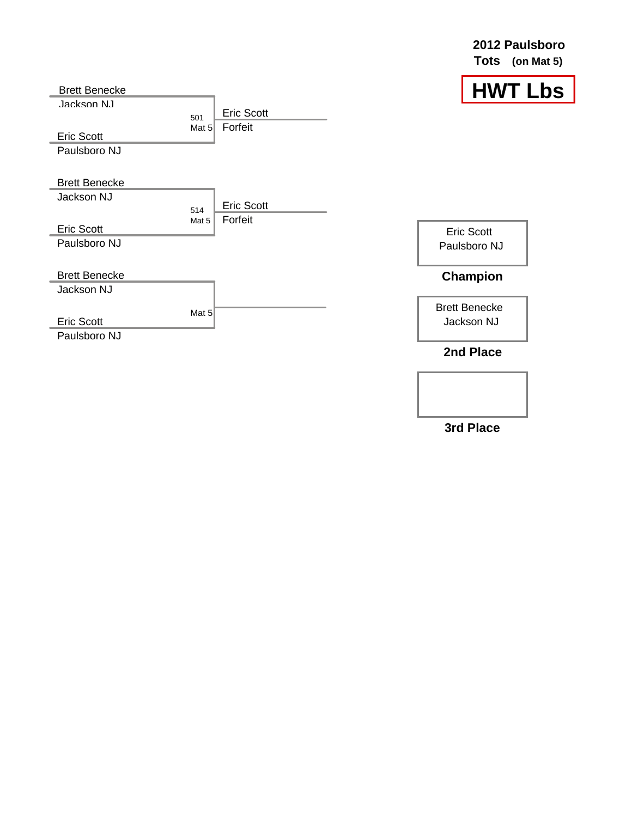**2012 Paulsboro Tots (on Mat 5)**







Eric Scott Paulsboro NJ

Brett Benecke Jackson NJ

**2nd Place**

**3rd Place**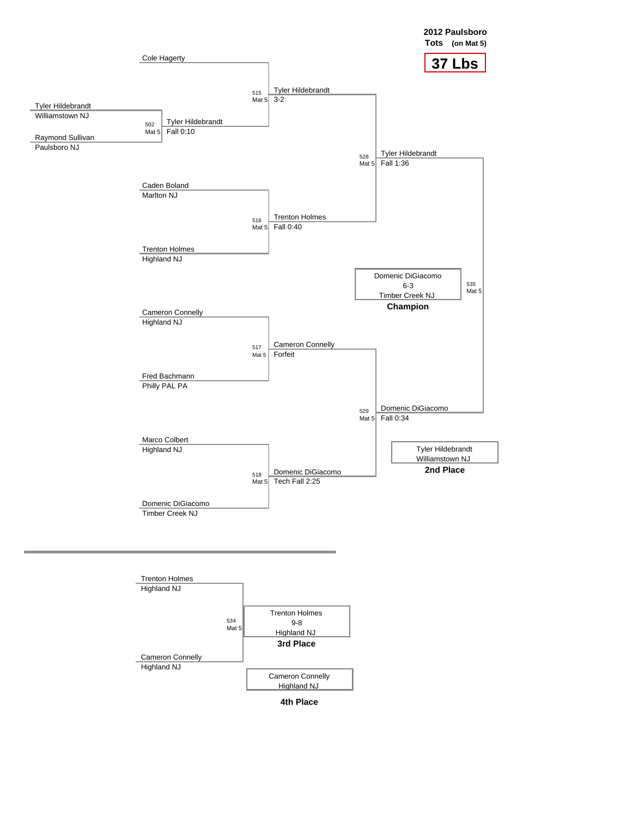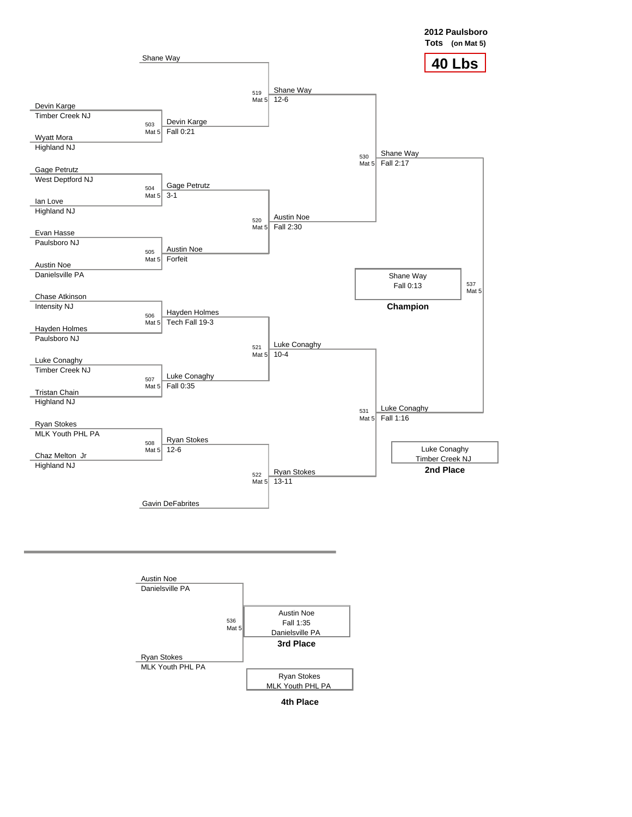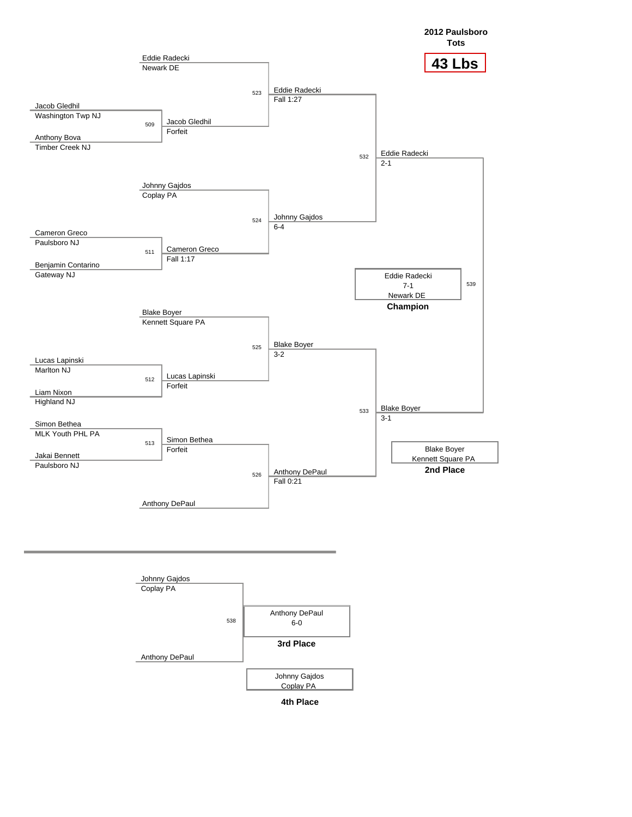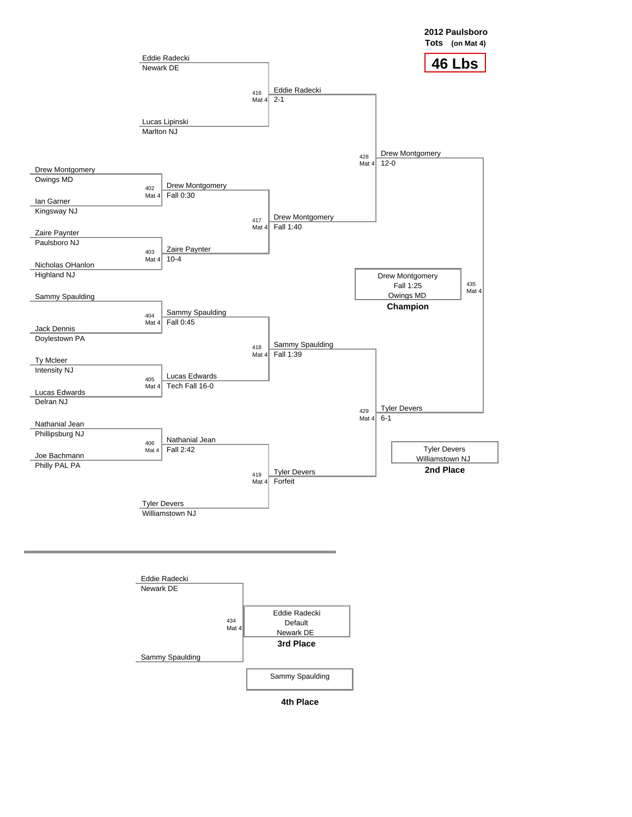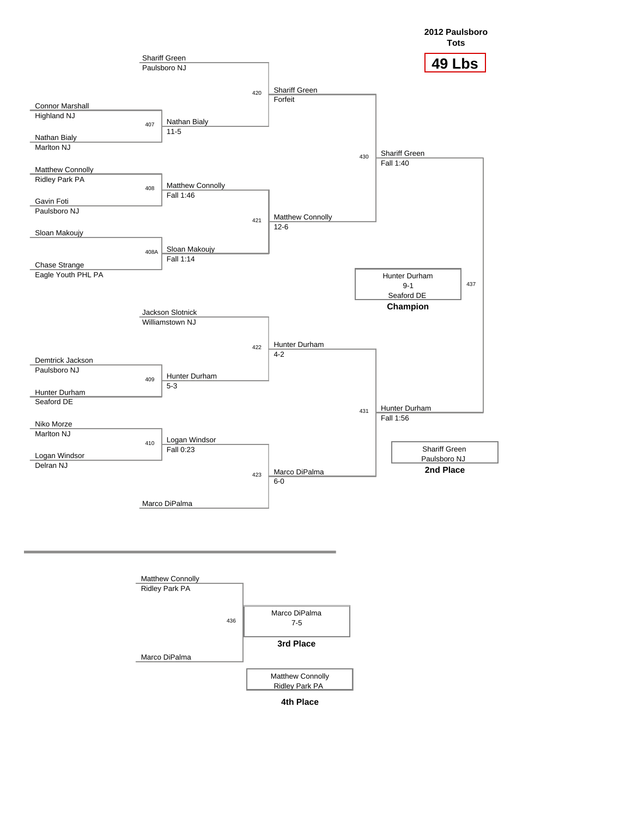

**4th Place**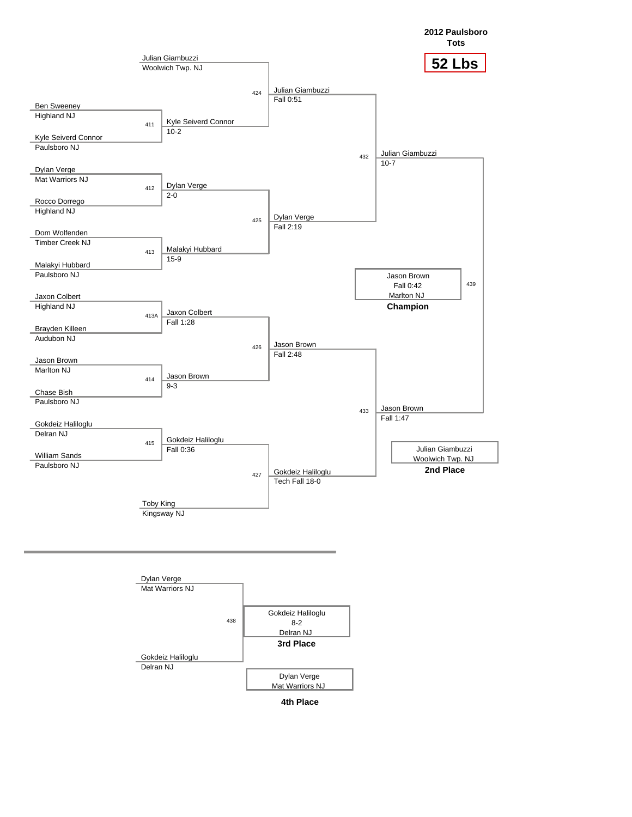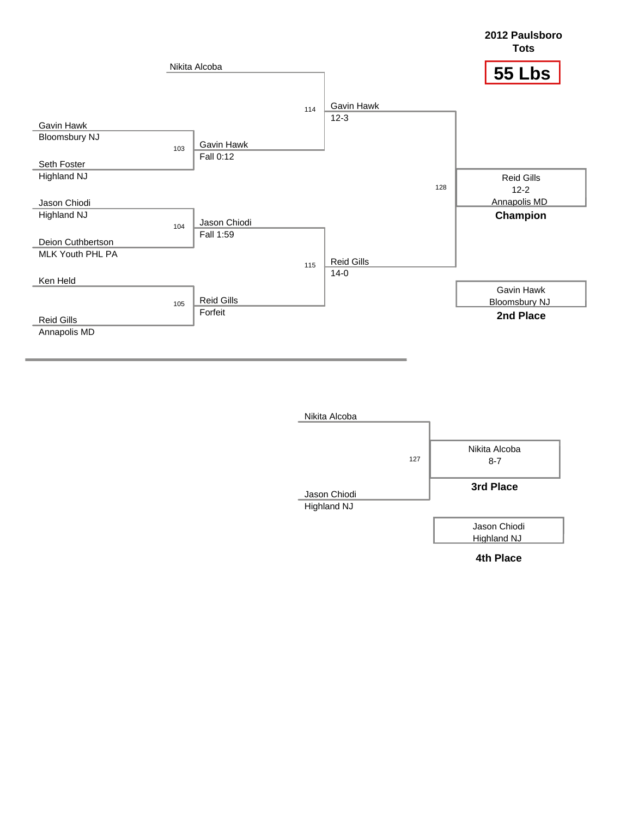

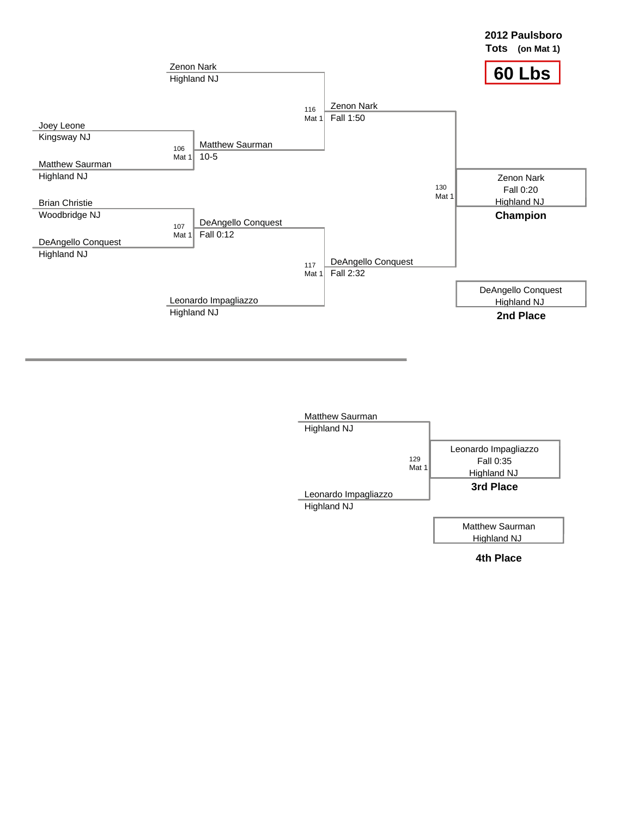

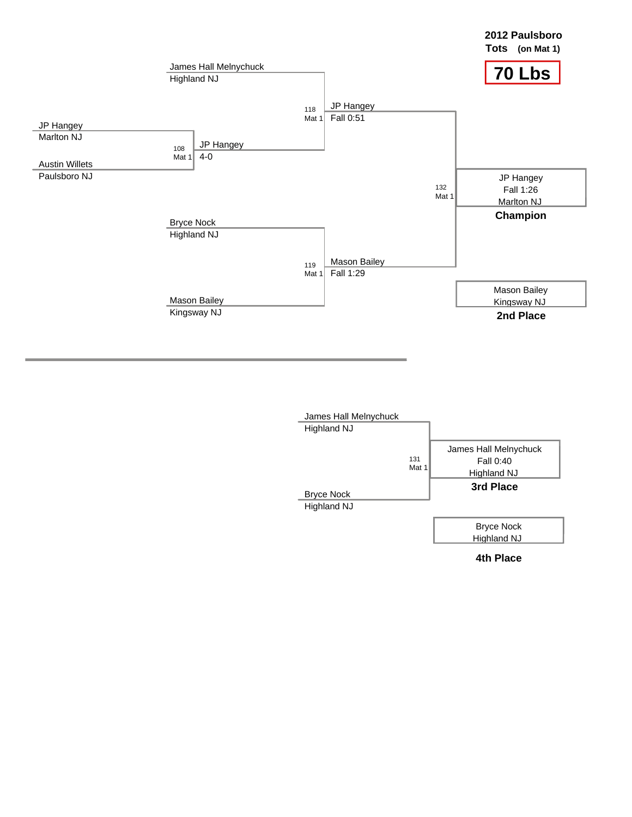

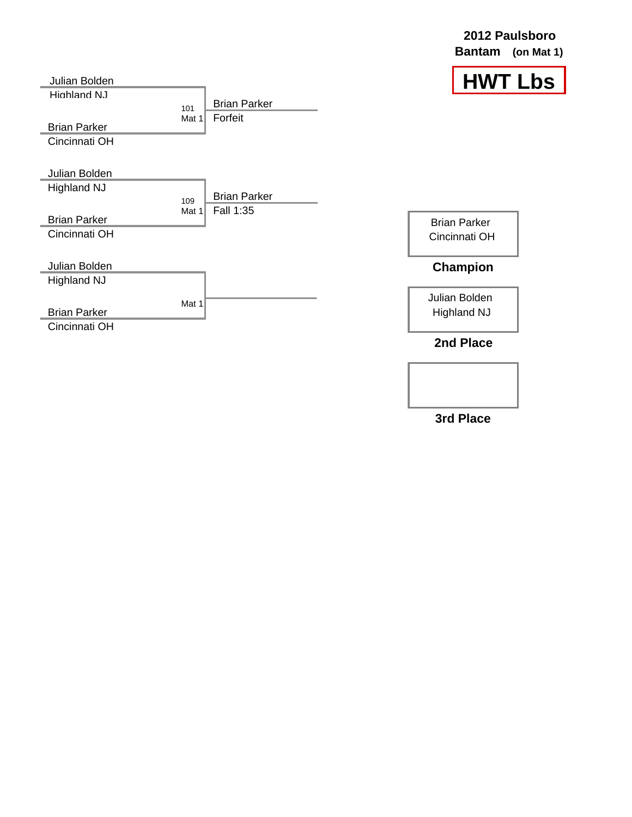| Julian Bolden       |              |                                | <b>HWT Lbs</b>      |  |
|---------------------|--------------|--------------------------------|---------------------|--|
| Highland N.I.       |              |                                |                     |  |
|                     | 101<br>Mat 1 | <b>Brian Parker</b><br>Forfeit |                     |  |
| <b>Brian Parker</b> |              |                                |                     |  |
| Cincinnati OH       |              |                                |                     |  |
|                     |              |                                |                     |  |
| Julian Bolden       |              |                                |                     |  |
| <b>Highland NJ</b>  |              | <b>Brian Parker</b>            |                     |  |
|                     | 109          | Fall 1:35                      |                     |  |
| <b>Brian Parker</b> | Mat 1        |                                | <b>Brian Parker</b> |  |
| Cincinnati OH       |              |                                | Cincinnati OH       |  |
|                     |              |                                |                     |  |
| Julian Bolden       |              |                                | <b>Champion</b>     |  |
| <b>Highland NJ</b>  |              |                                |                     |  |
|                     | Mat 1        |                                | Julian Bolden       |  |
| <b>Brian Parker</b> |              |                                | <b>Highland NJ</b>  |  |
| Cincinnati OH       |              |                                |                     |  |
|                     |              |                                | 2nd Place           |  |
|                     |              |                                |                     |  |

## **2012 Paulsboro Bantam (on Mat 1)**

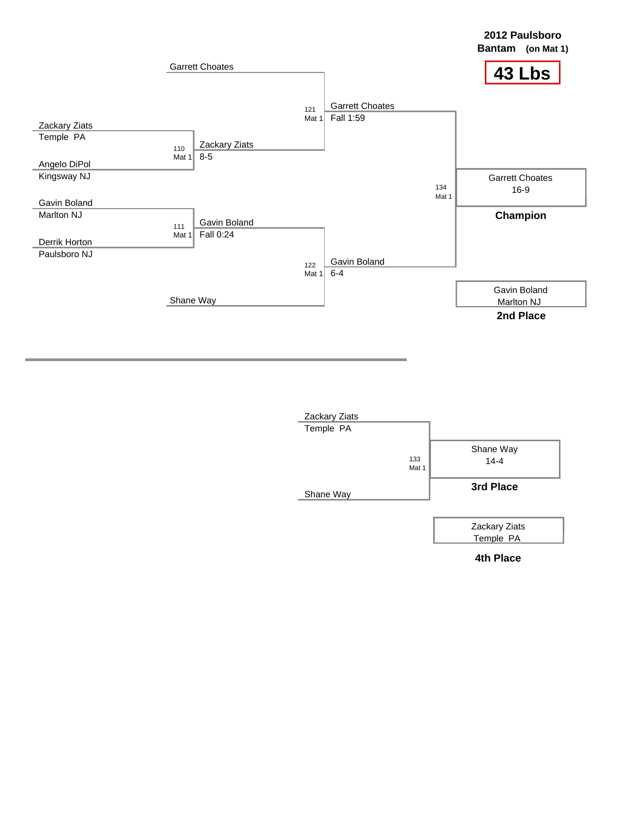

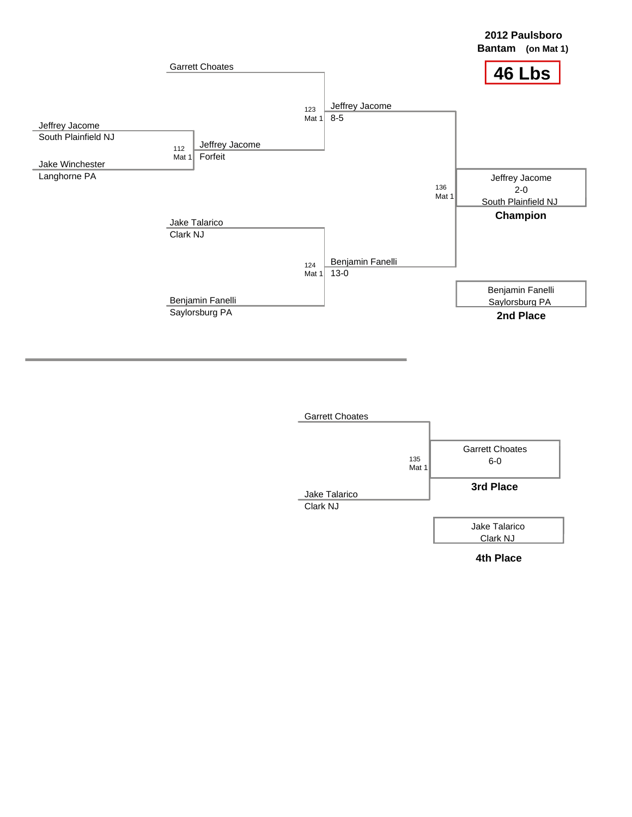

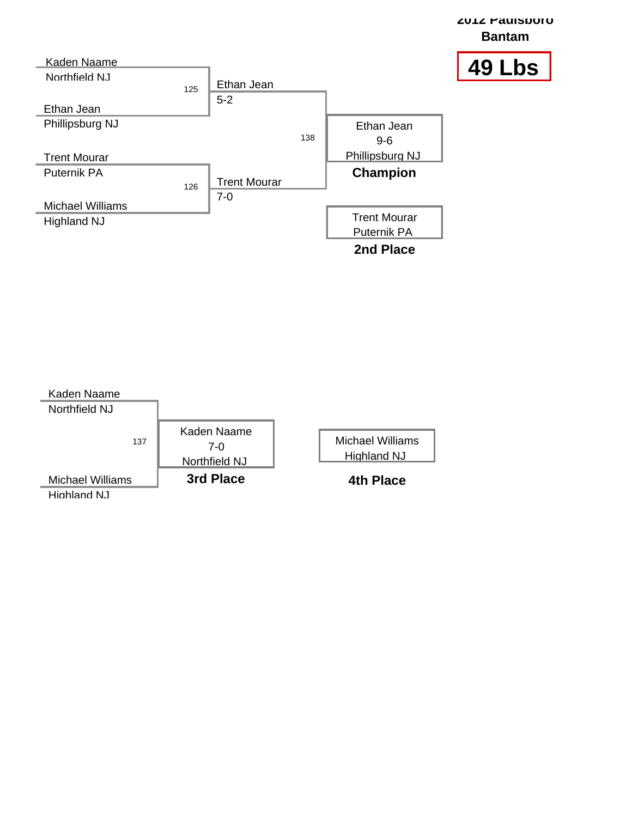

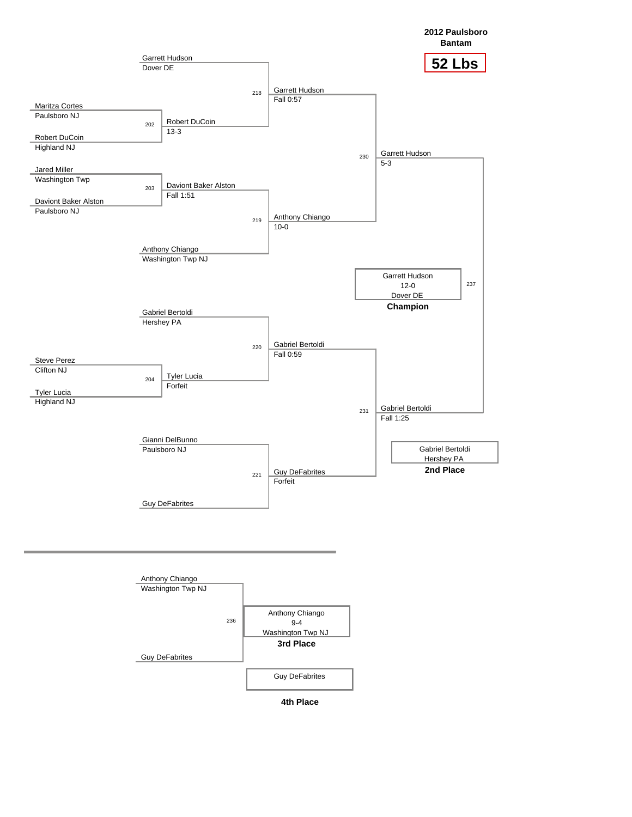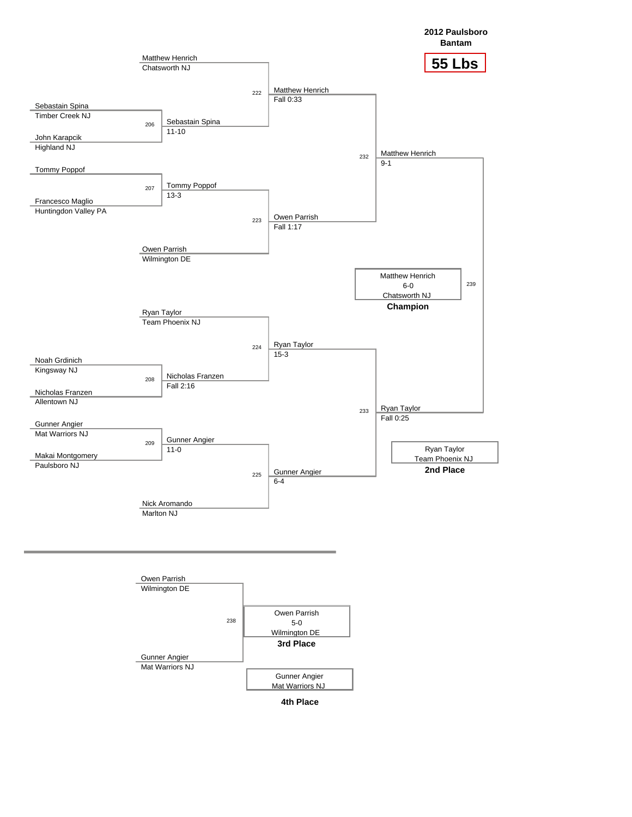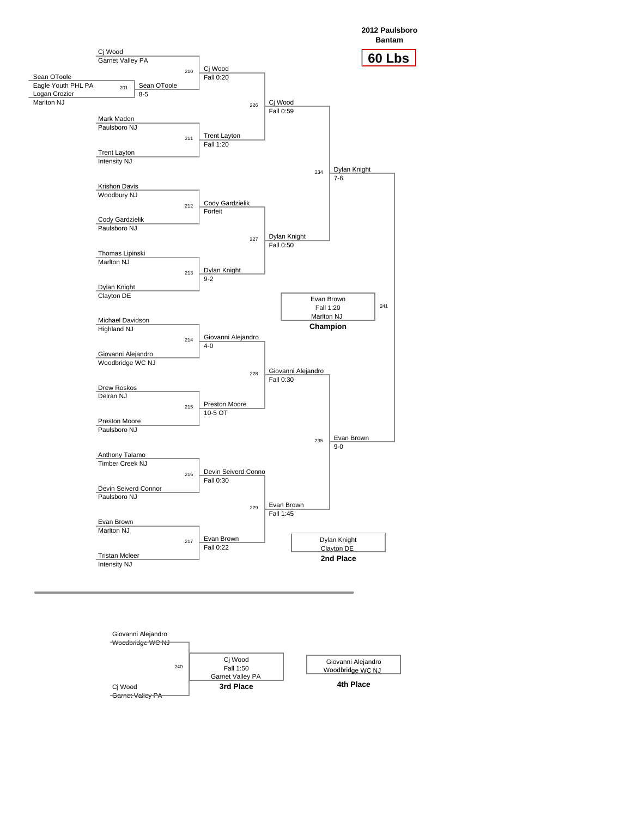**2012 Paulsboro Bantam**



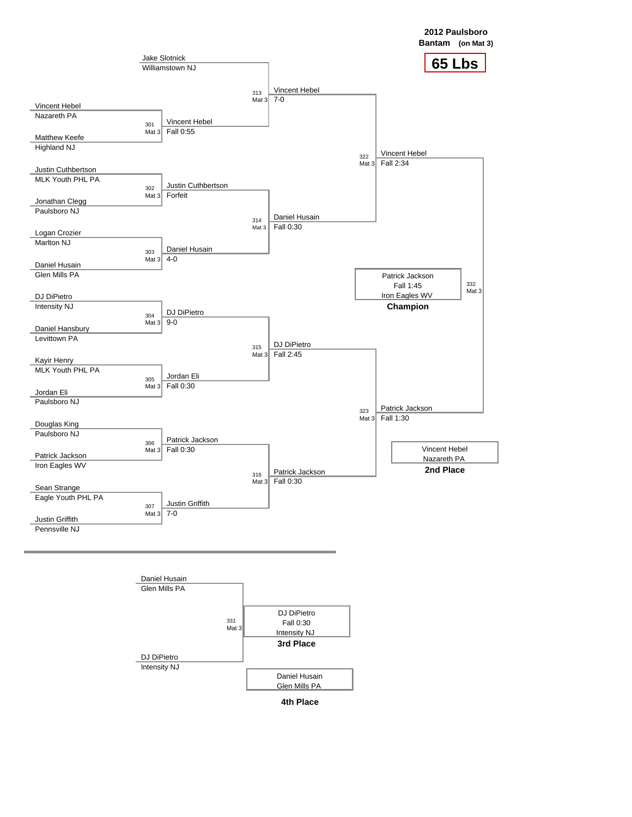

**4th Place**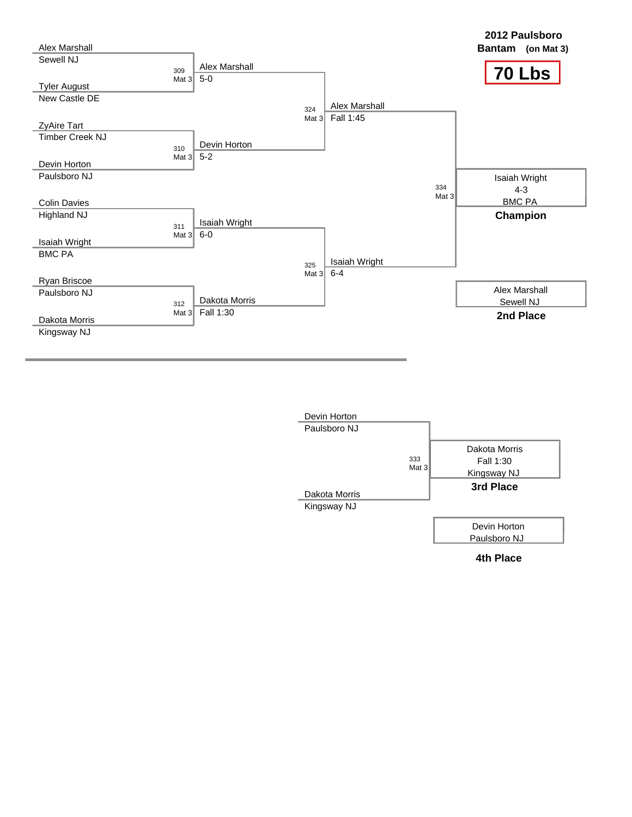

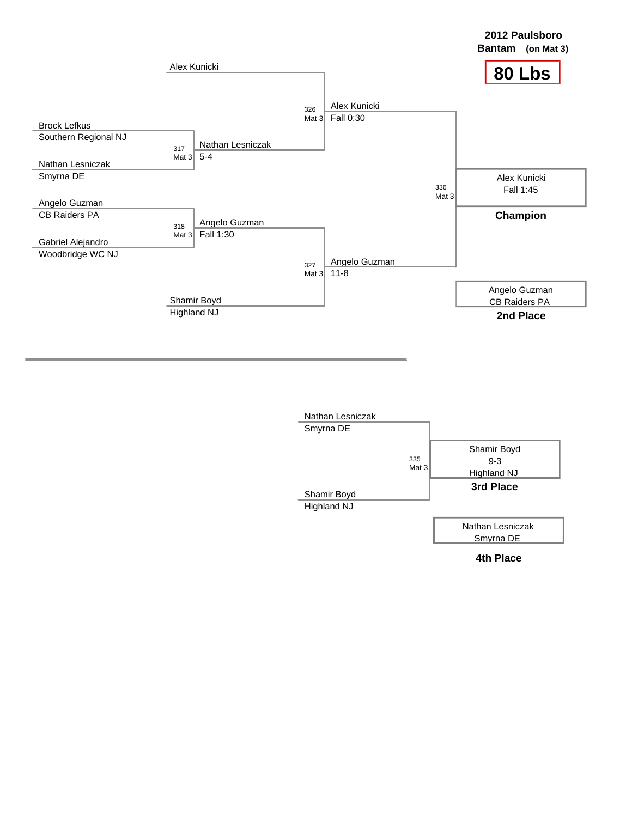

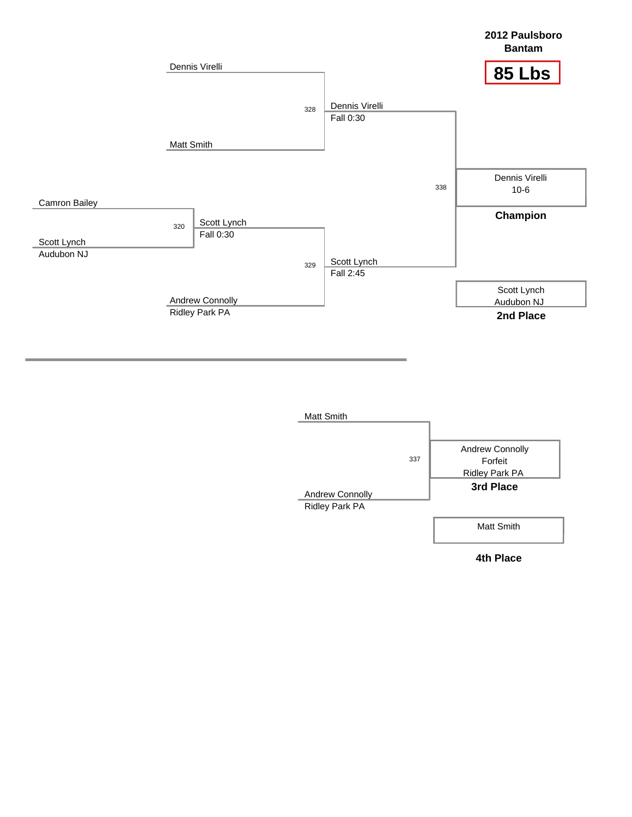

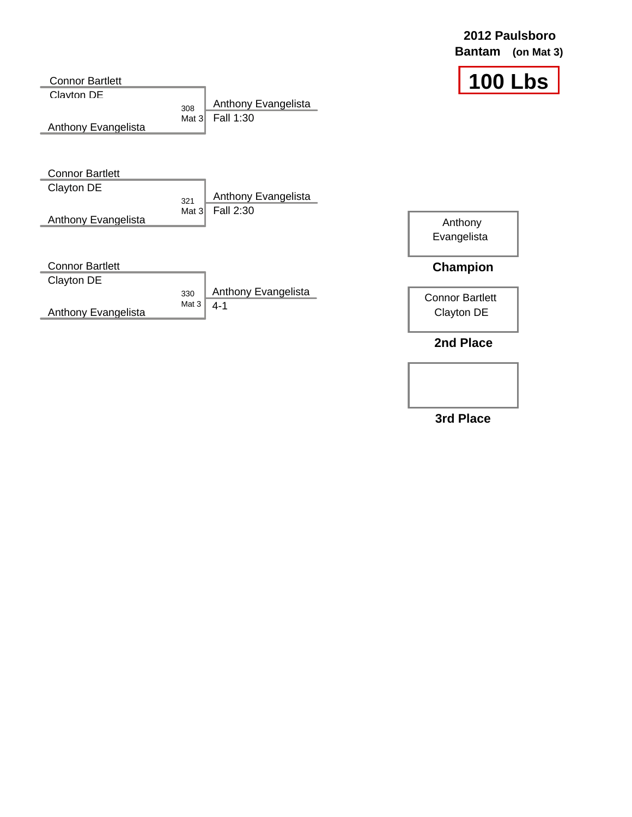|                        |                             | <b>Bantam</b><br>(on Mat $3)$ |
|------------------------|-----------------------------|-------------------------------|
| <b>Connor Bartlett</b> |                             | <b>100 Lbs</b>                |
| Clavton DE             | Anthony Evangelista<br>308  |                               |
| Anthony Evangelista    | Fall 1:30<br>Mat $31$       |                               |
| <b>Connor Bartlett</b> |                             |                               |
| Clayton DE             | Anthony Evangelista         |                               |
| Anthony Evangelista    | 321<br>Fall 2:30<br>Mat $3$ |                               |
|                        |                             | Anthony<br>Evangelista        |
| <b>Connor Bartlett</b> |                             | <b>Champion</b>               |
| Clayton DE             | Anthony Evangelista<br>330  | <b>Connor Bartlett</b>        |
| Anthony Evangelista    | Mat 3<br>$4 - 1$            | Clayton DE                    |
|                        |                             | 2nd Place                     |

**2012 Paulsboro**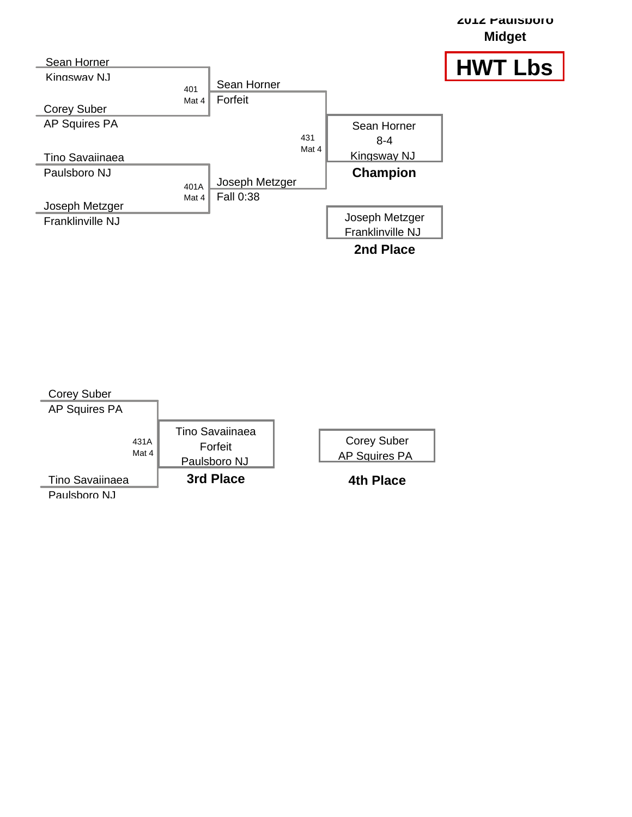

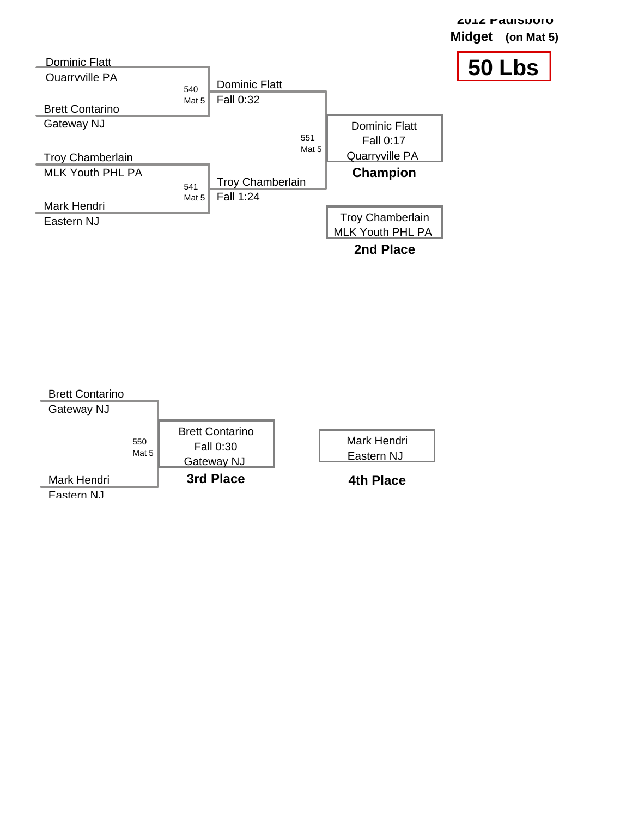

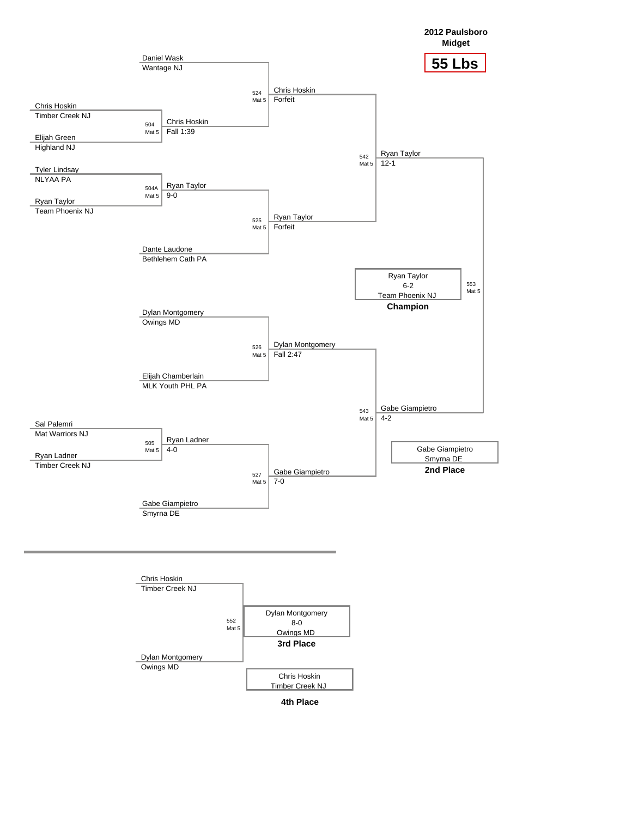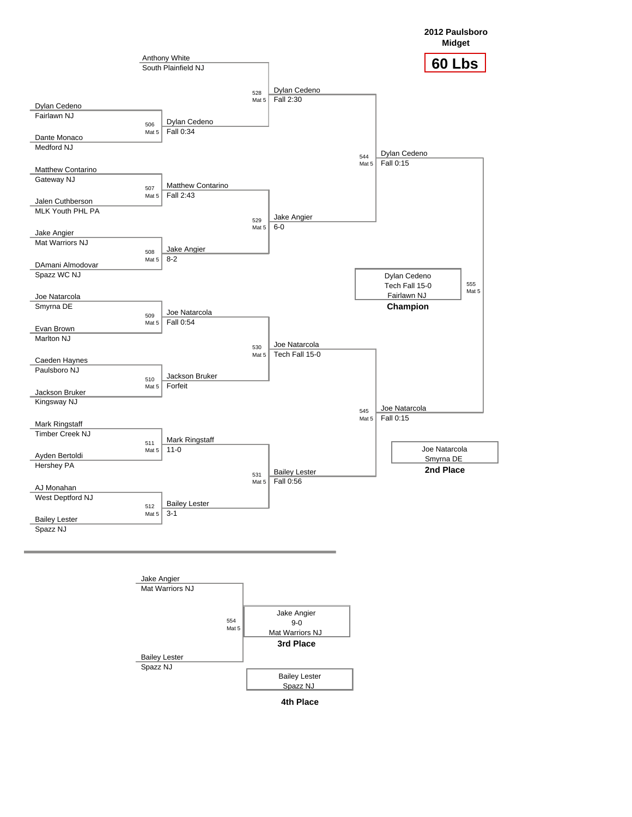

**4th Place**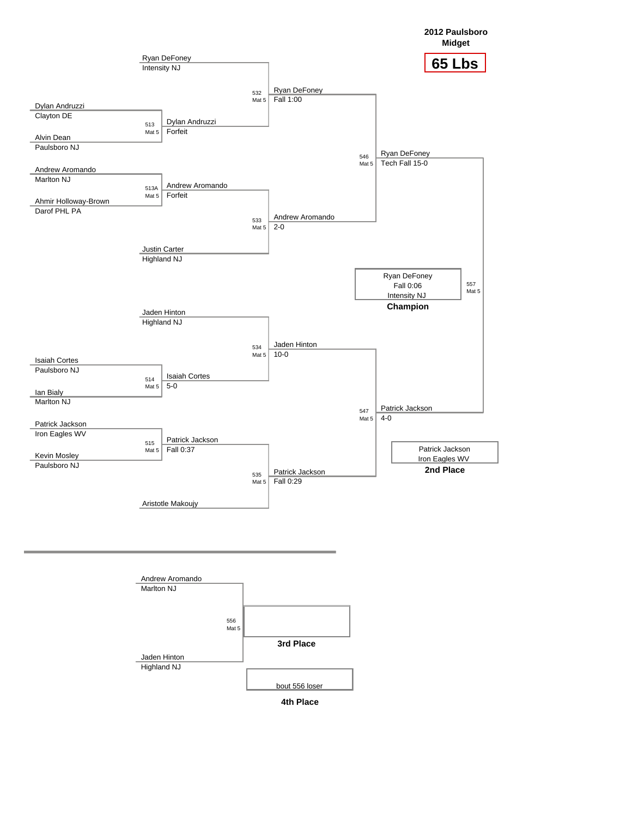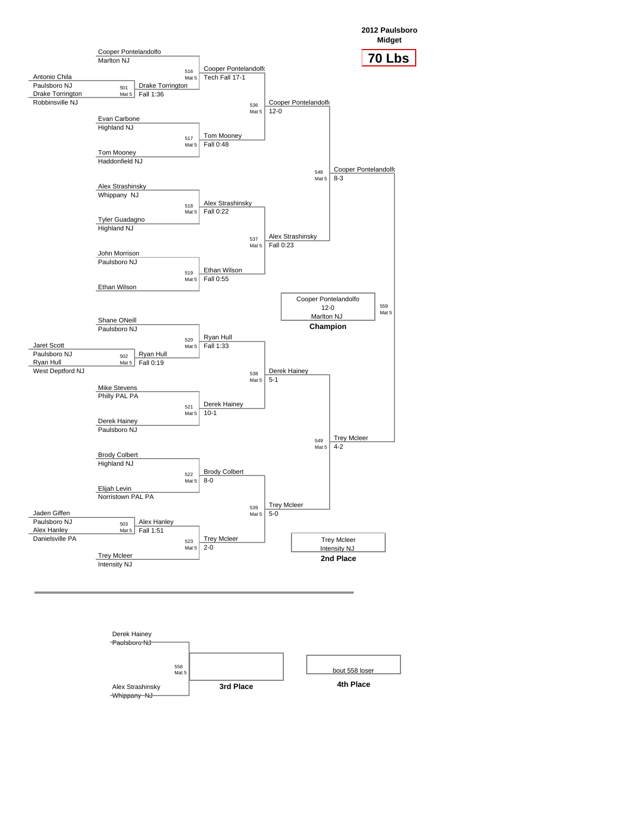**2012 Paulsboro**



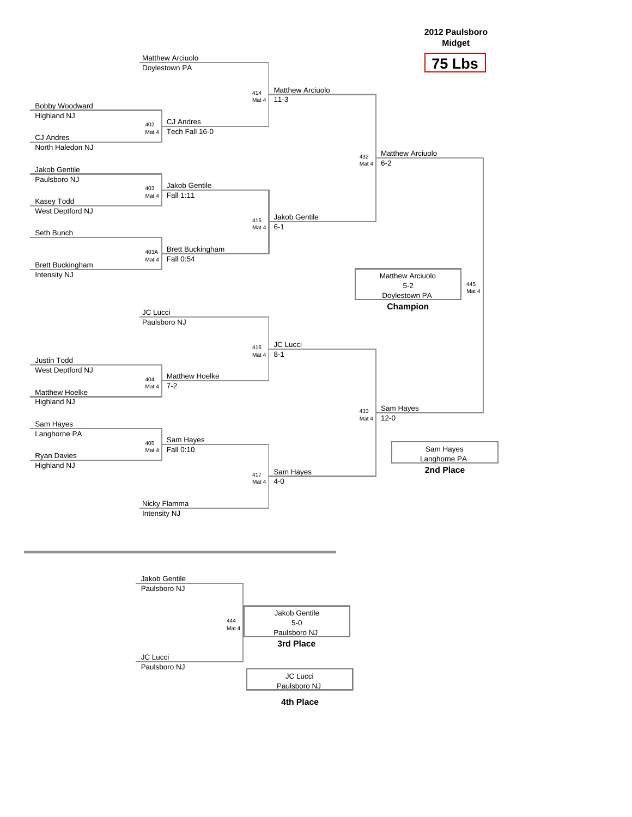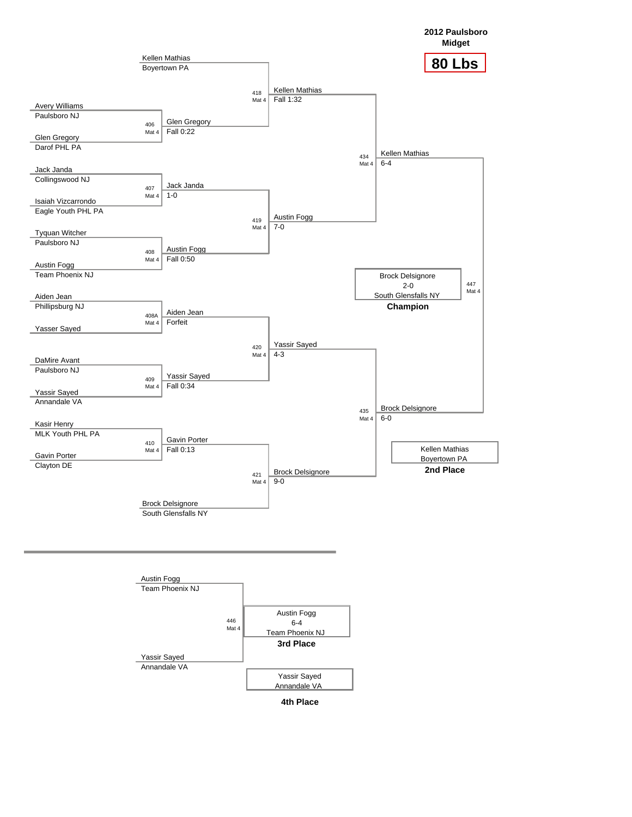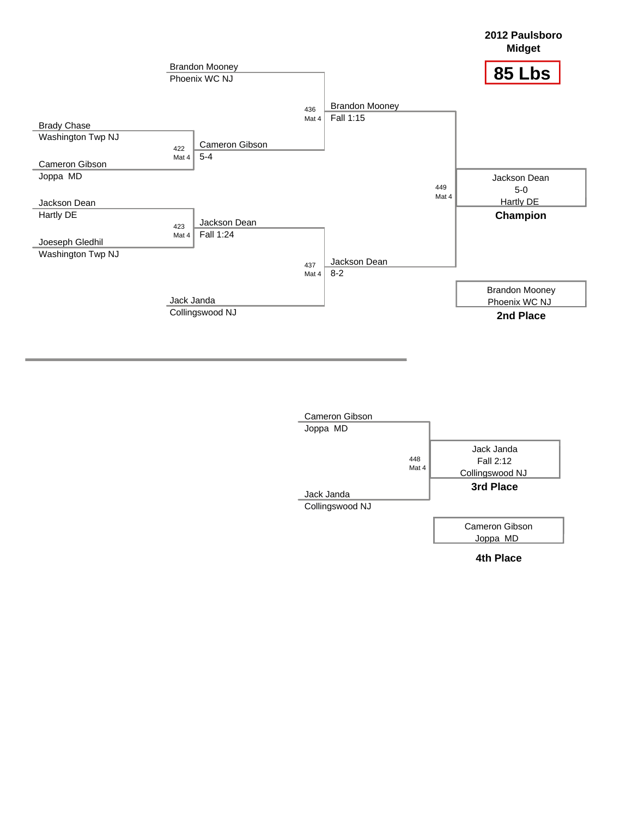

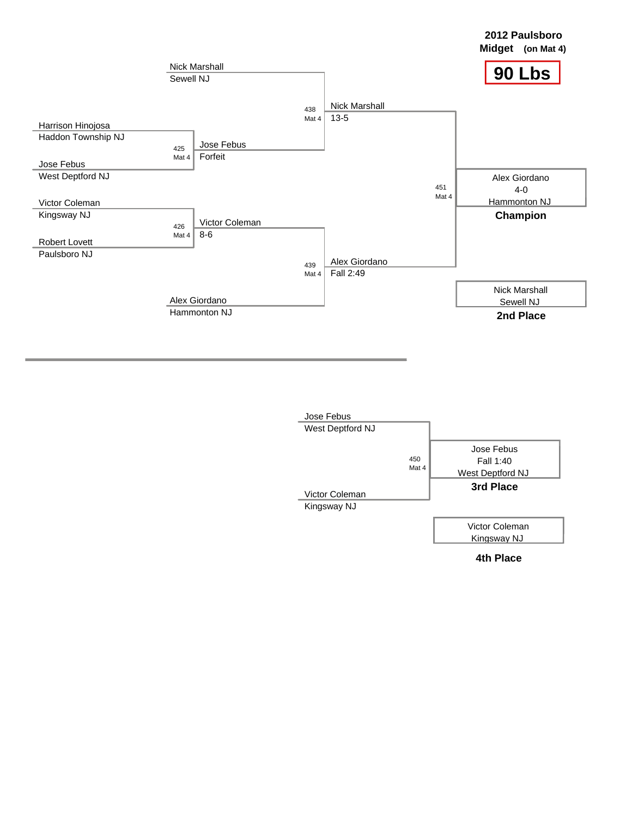

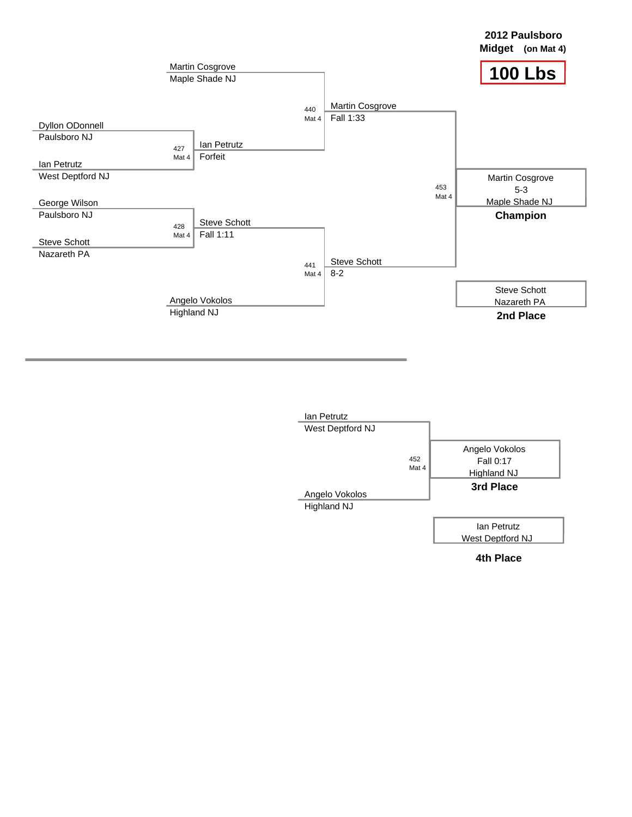

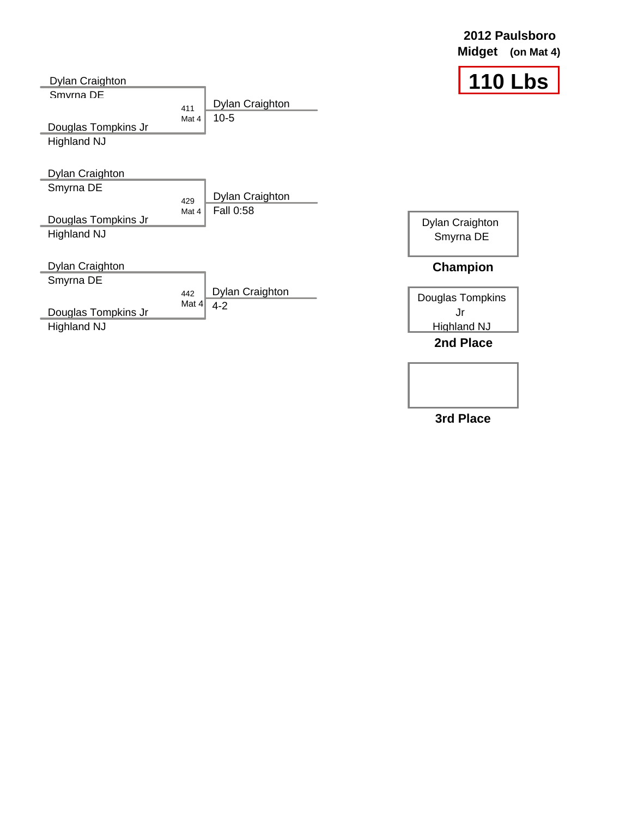| Dylan Craighton                                                           |                |                                     | <b>110 Lbs</b>                                                               |
|---------------------------------------------------------------------------|----------------|-------------------------------------|------------------------------------------------------------------------------|
| Smyrna DF<br>Douglas Tompkins Jr<br><b>Highland NJ</b>                    | 411<br>Mat 4   | Dylan Craighton<br>$10-5$           |                                                                              |
| Dylan Craighton<br>Smyrna DE<br>Douglas Tompkins Jr<br><b>Highland NJ</b> | 429<br>Mat 4   | Dylan Craighton<br><b>Fall 0:58</b> | Dylan Craighton<br>Smyrna DE                                                 |
| Dylan Craighton<br>Smyrna DE<br>Douglas Tompkins Jr<br><b>Highland NJ</b> | 442<br>Mat $4$ | Dylan Craighton<br>$4 - 2$          | <b>Champion</b><br>Douglas Tompkins<br>Jr<br><b>Highland NJ</b><br>2nd Place |

**2012 Paulsboro Midget (on Mat 4)**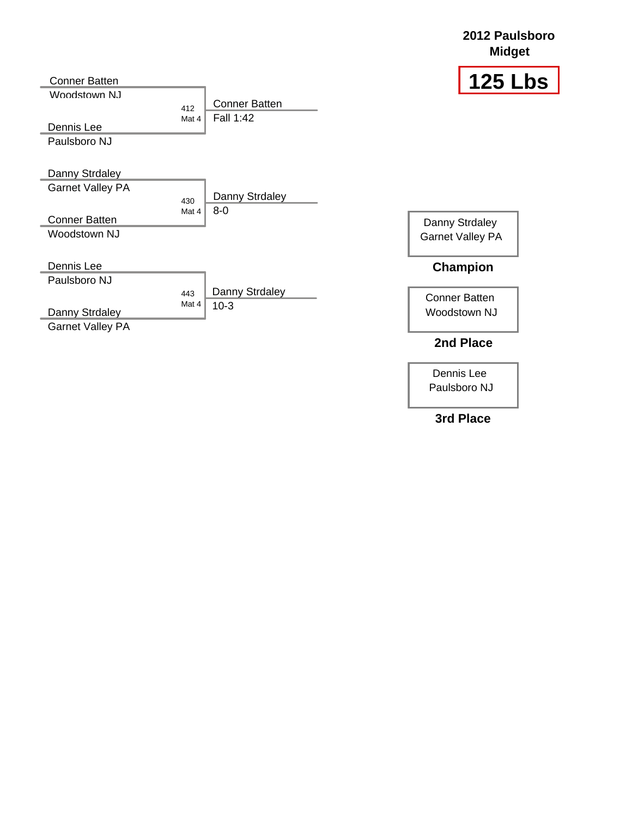## **2012 Paulsboro Midget**



| Conner Batten                                |              |                                   | 125 L                   |
|----------------------------------------------|--------------|-----------------------------------|-------------------------|
| Woodstown N.I.<br>Dennis Lee<br>Paulsboro NJ | 412<br>Mat 4 | <b>Conner Batten</b><br>Fall 1:42 |                         |
| Danny Strdaley                               |              |                                   |                         |
| <b>Garnet Valley PA</b>                      | 430<br>Mat 4 | Danny Strdaley<br>$8-0$           |                         |
| <b>Conner Batten</b>                         |              |                                   | Danny Strdaley          |
| Woodstown NJ                                 |              |                                   | <b>Garnet Valley PA</b> |
| Dennis Lee                                   |              |                                   | Champion                |
| Paulsboro NJ                                 |              |                                   |                         |
|                                              | 443          | Danny Strdaley                    | <b>Conner Batten</b>    |
| Danny Strdaley                               | Mat 4        | $10-3$                            | Woodstown NJ            |
| <b>Garnet Valley PA</b>                      |              |                                   |                         |

## **2nd Place**

Dennis Lee Paulsboro NJ

**3rd Place**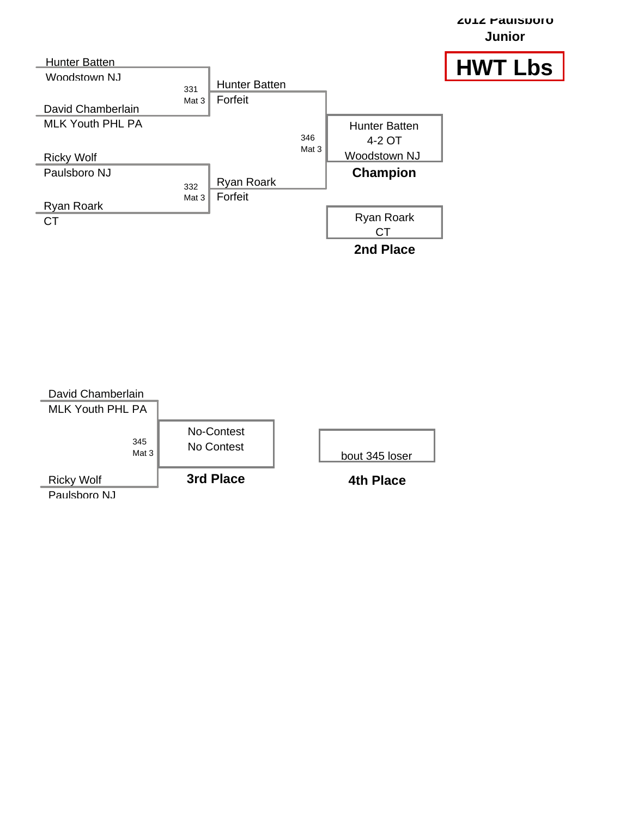

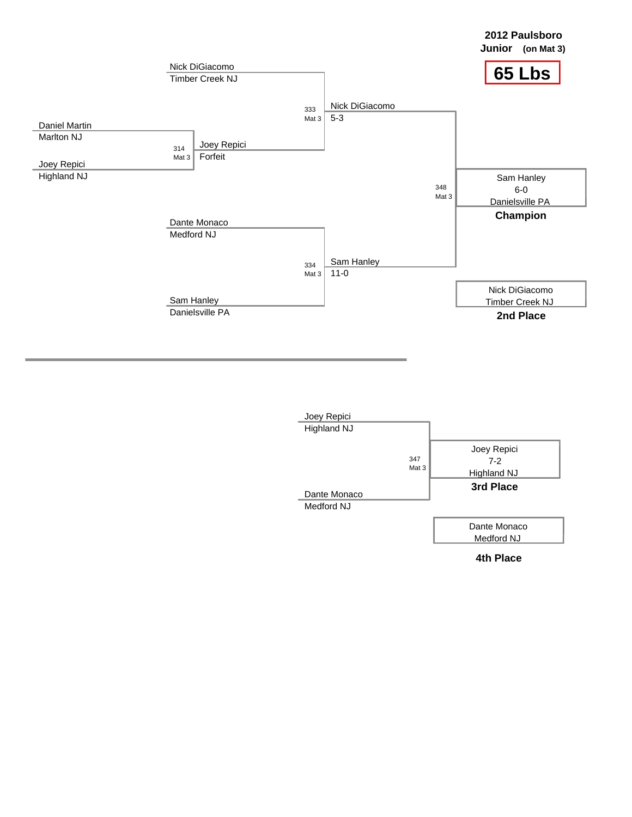

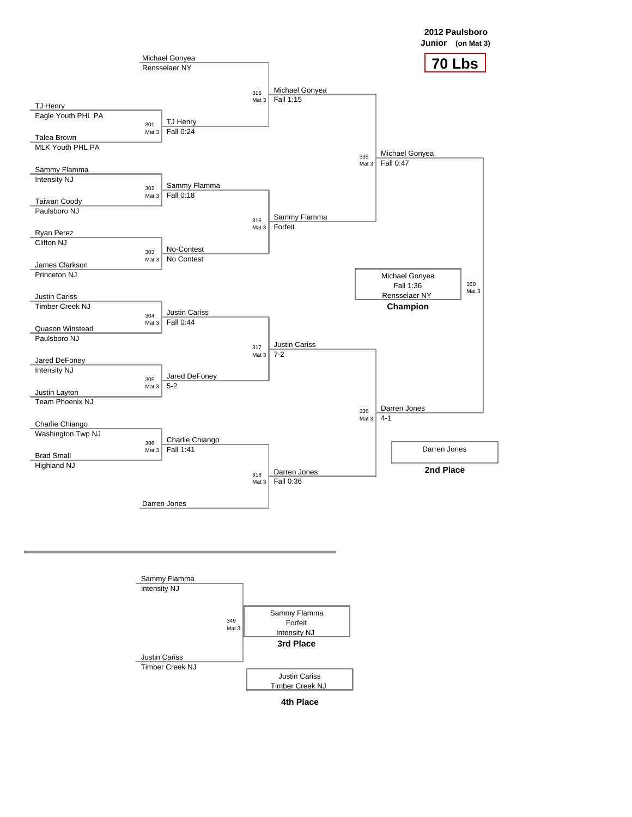

**2012 Paulsboro**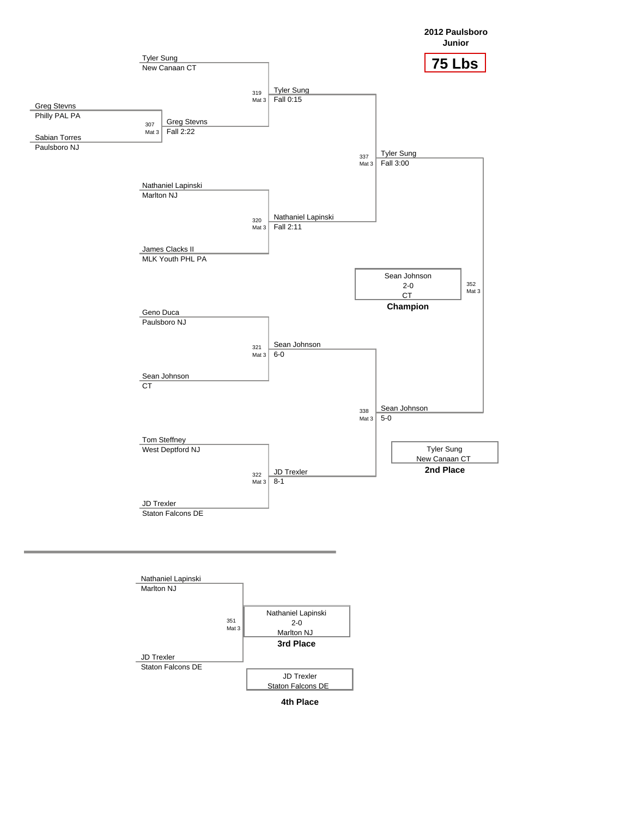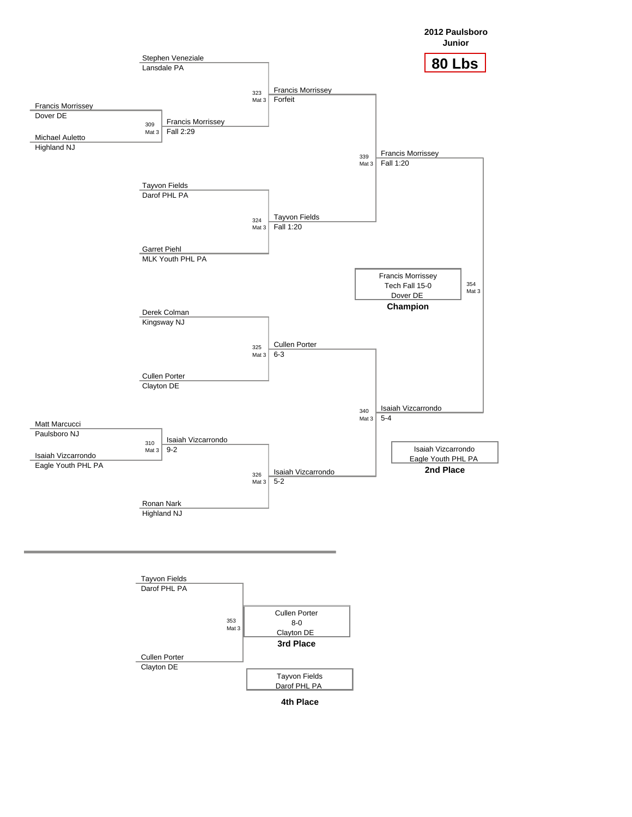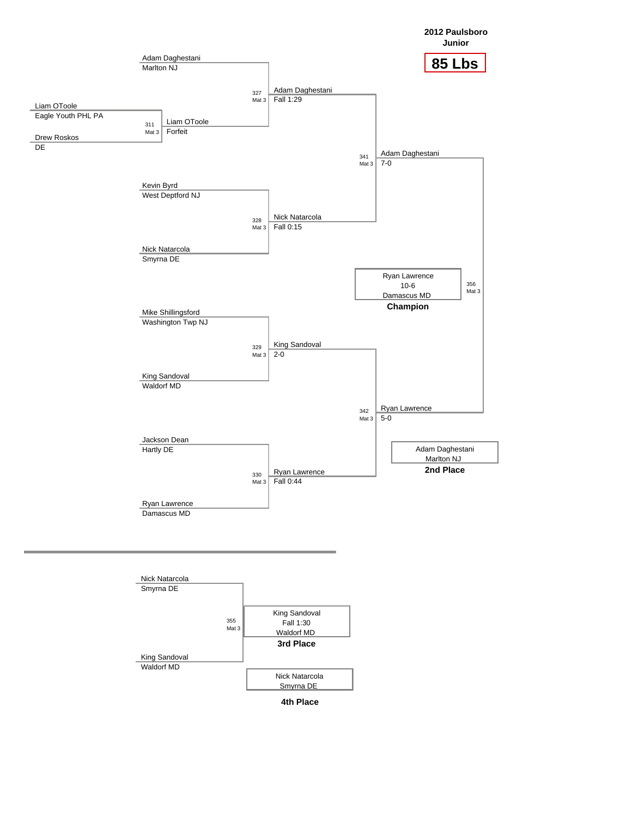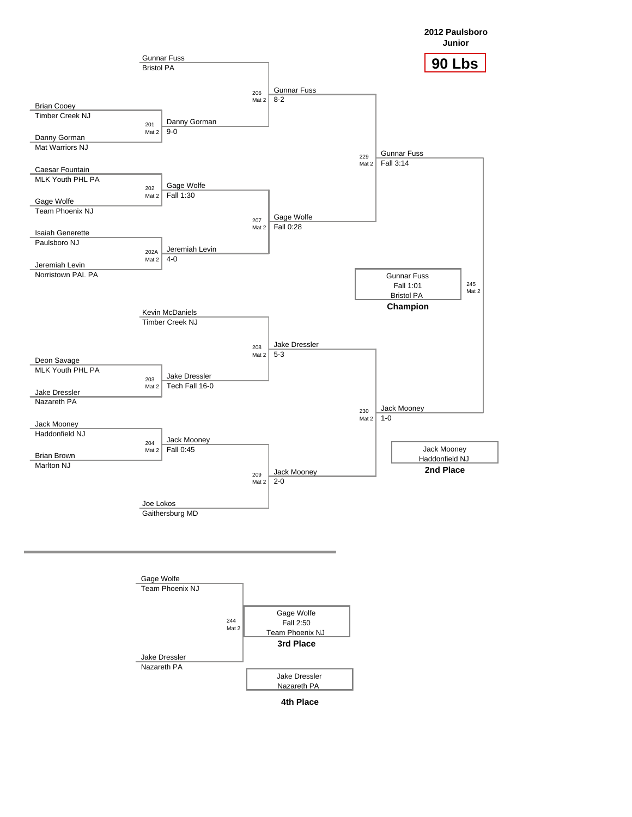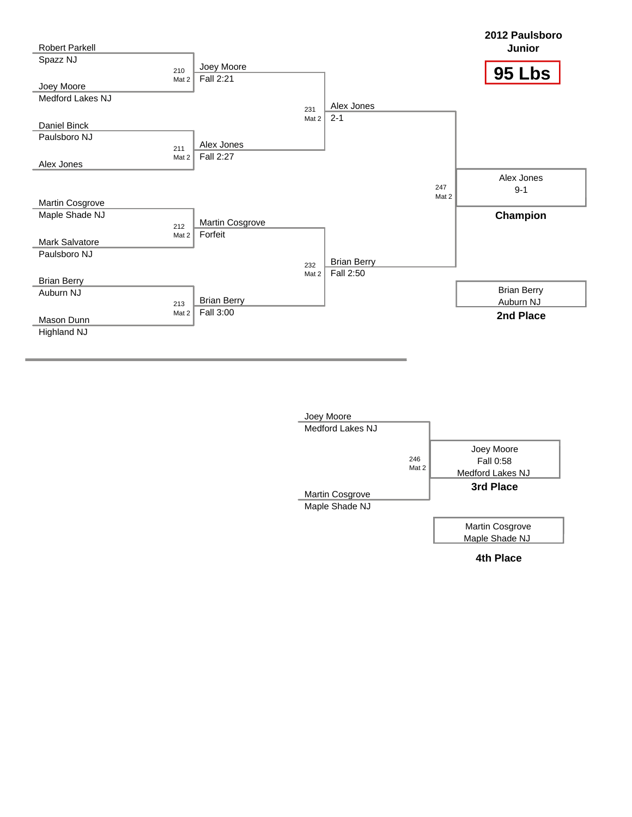

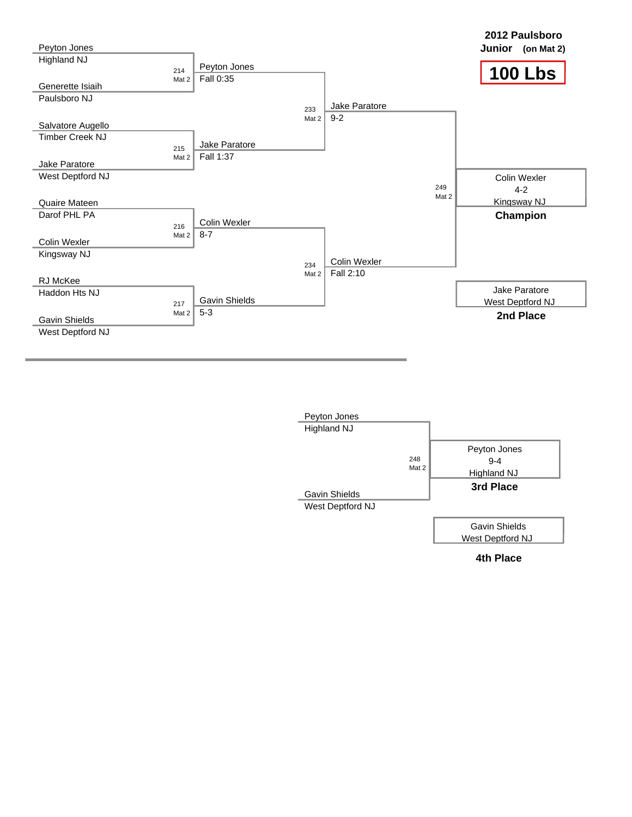

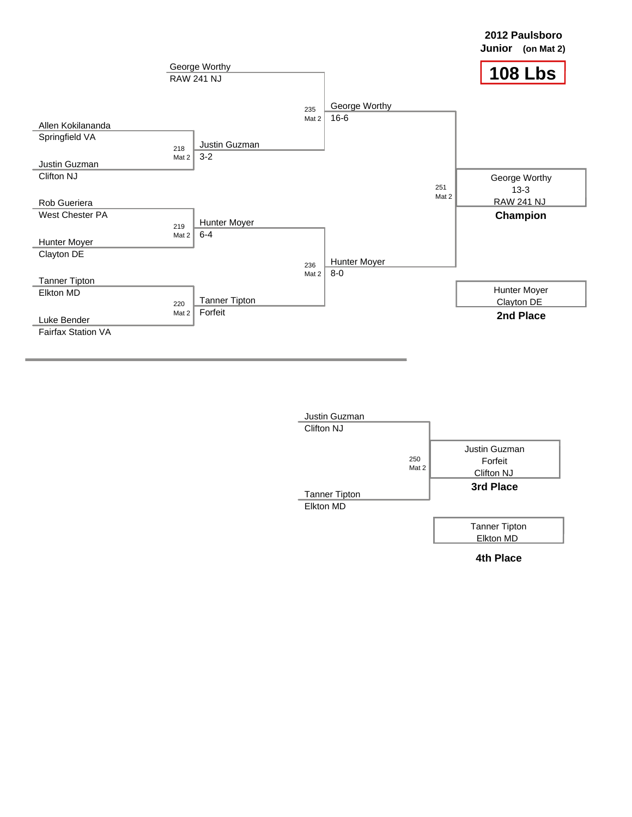

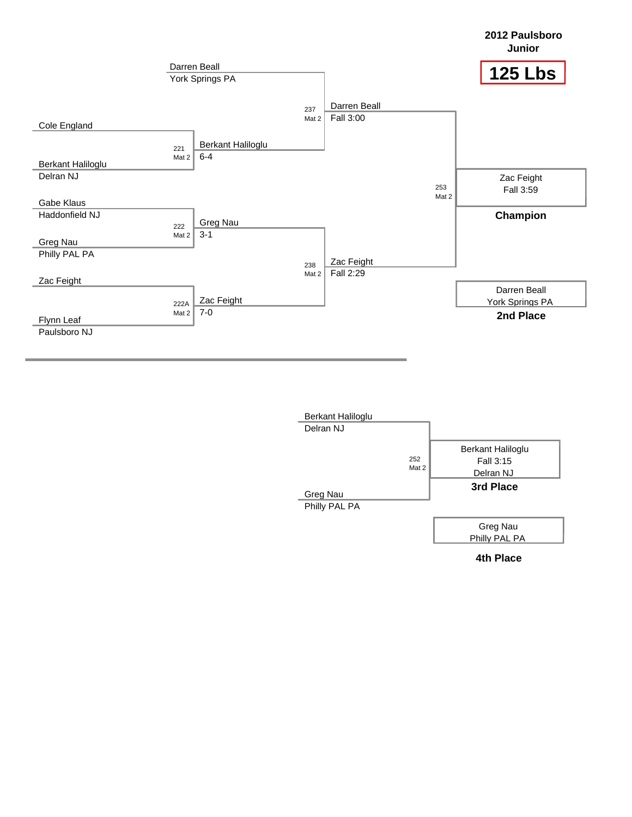

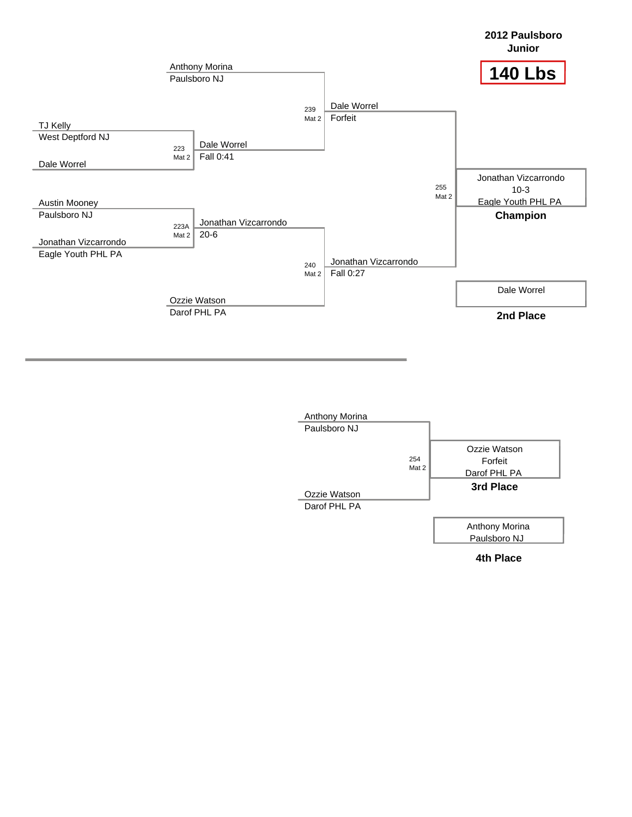

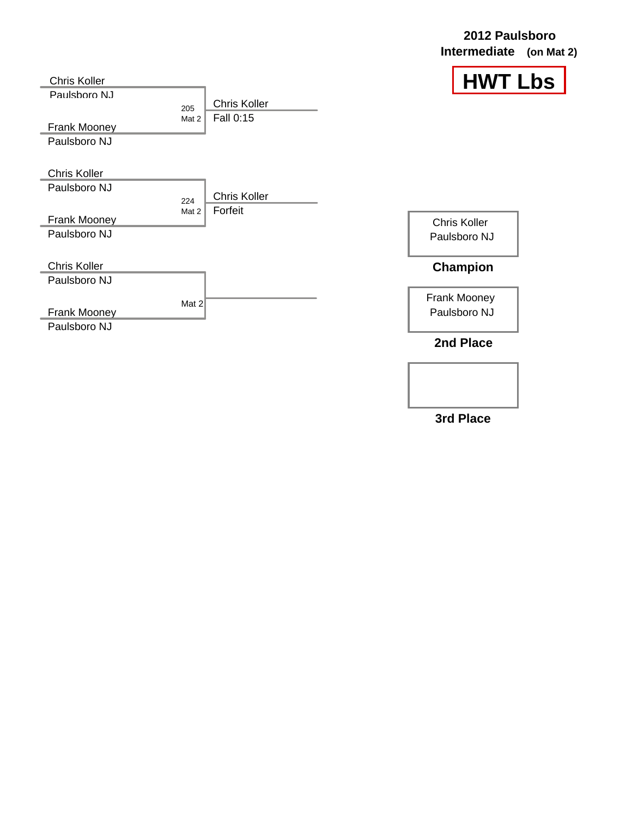| 2012 Paulsboro          |  |  |  |
|-------------------------|--|--|--|
| Intermediate (on Mat 2) |  |  |  |



| <b>Chris Koller</b>                          |              |                                  |                                     |
|----------------------------------------------|--------------|----------------------------------|-------------------------------------|
| Paulsboro NJ<br>Frank Mooney<br>Paulsboro NJ | 205<br>Mat 2 | <b>Chris Koller</b><br>Fall 0:15 |                                     |
| <b>Chris Koller</b><br>Paulsboro NJ          | 224<br>Mat 2 | <b>Chris Koller</b><br>Forfeit   |                                     |
| <b>Frank Mooney</b><br>Paulsboro NJ          |              |                                  | <b>Chris Koller</b><br>Paulsboro NJ |
| <b>Chris Koller</b><br>Paulsboro NJ          |              |                                  | Champion                            |
| <b>Frank Mooney</b><br>Paulsboro NJ          | Mat 2        |                                  | <b>Frank Mooney</b><br>Paulsboro NJ |
|                                              |              |                                  | .וח ו                               |

**2nd Place**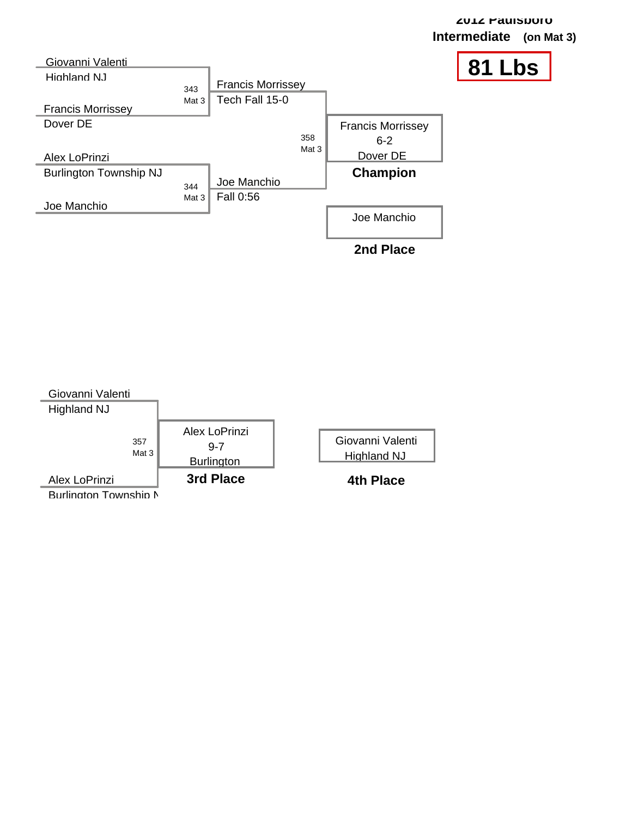

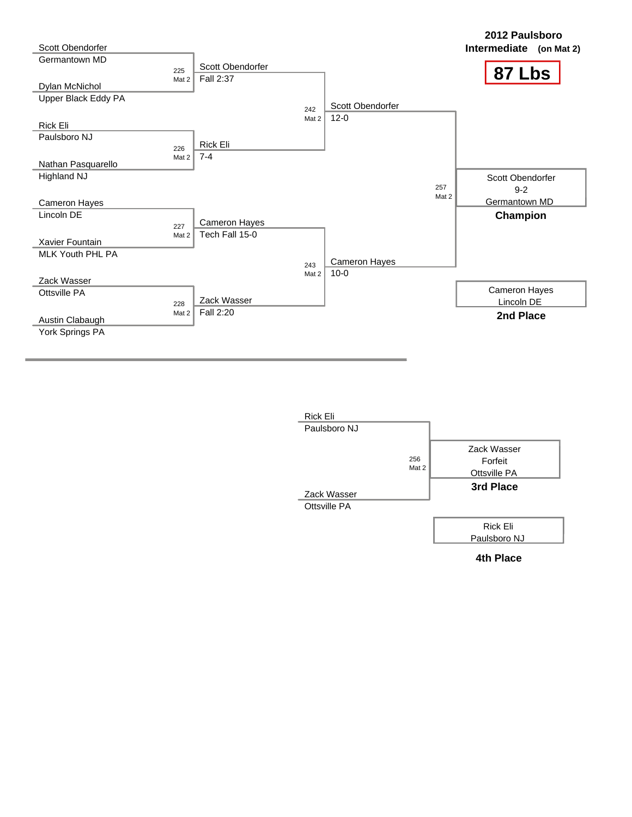

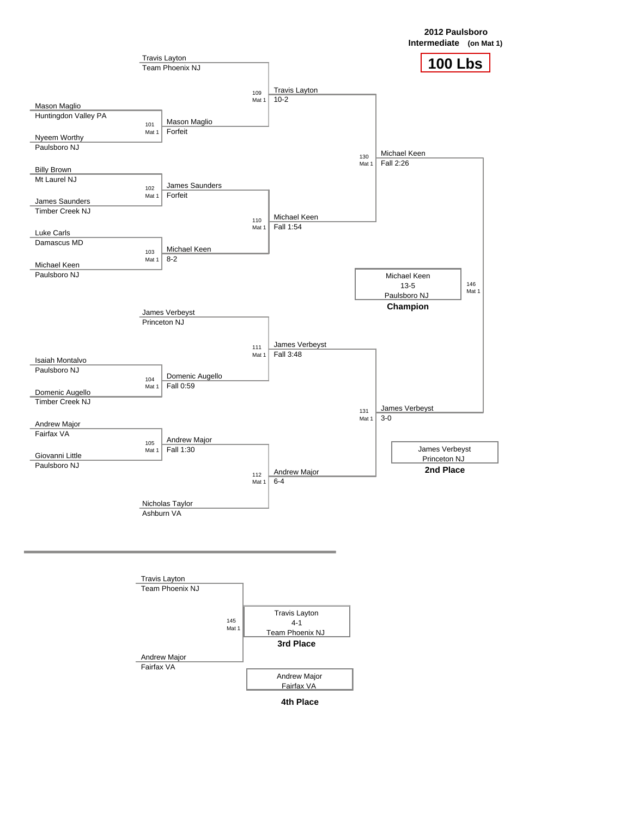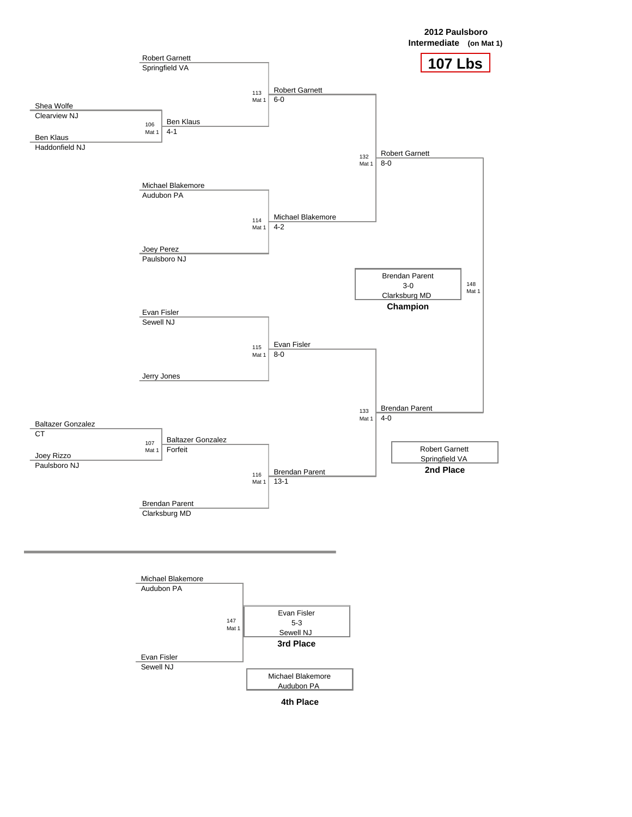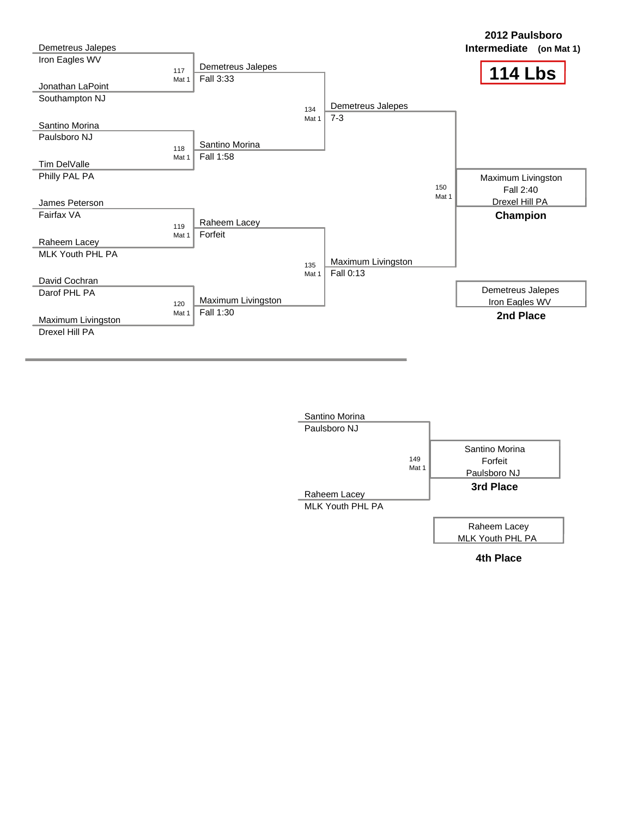

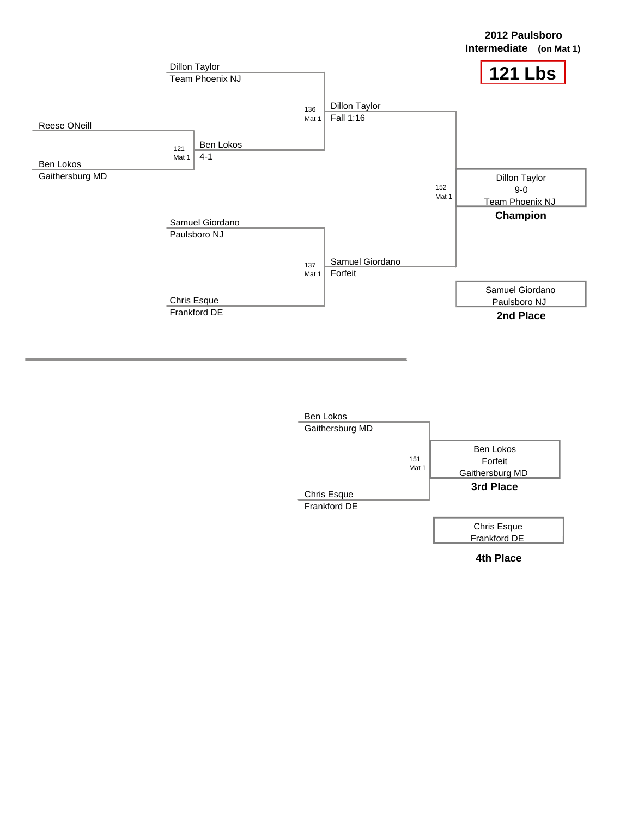

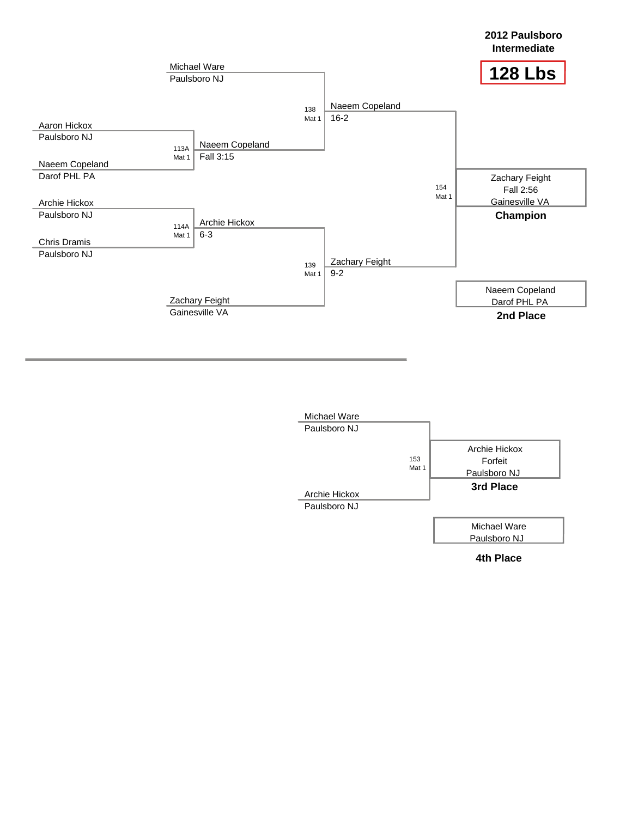

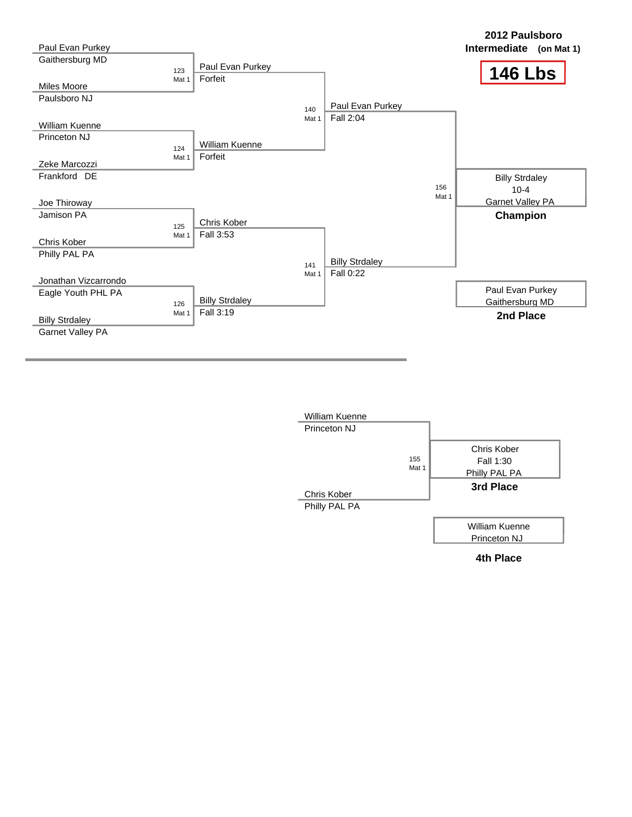

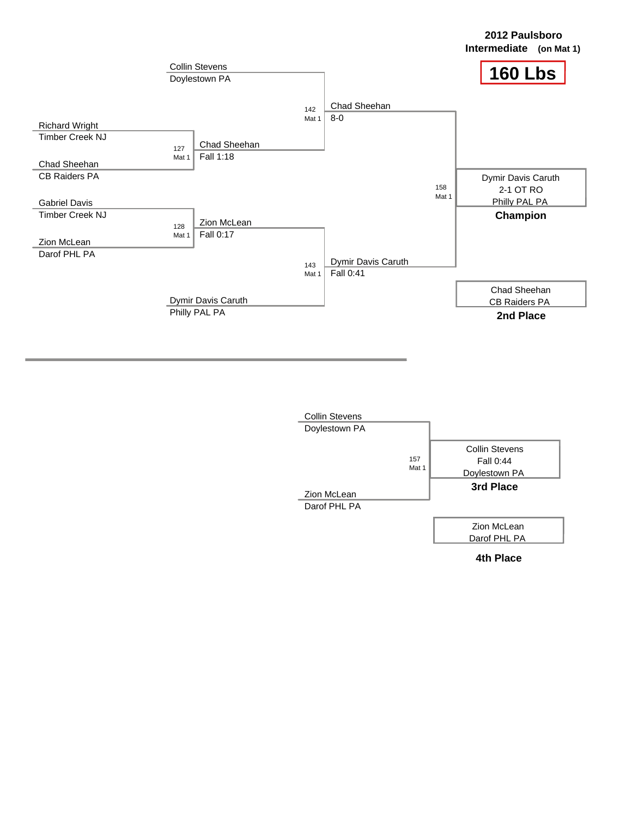